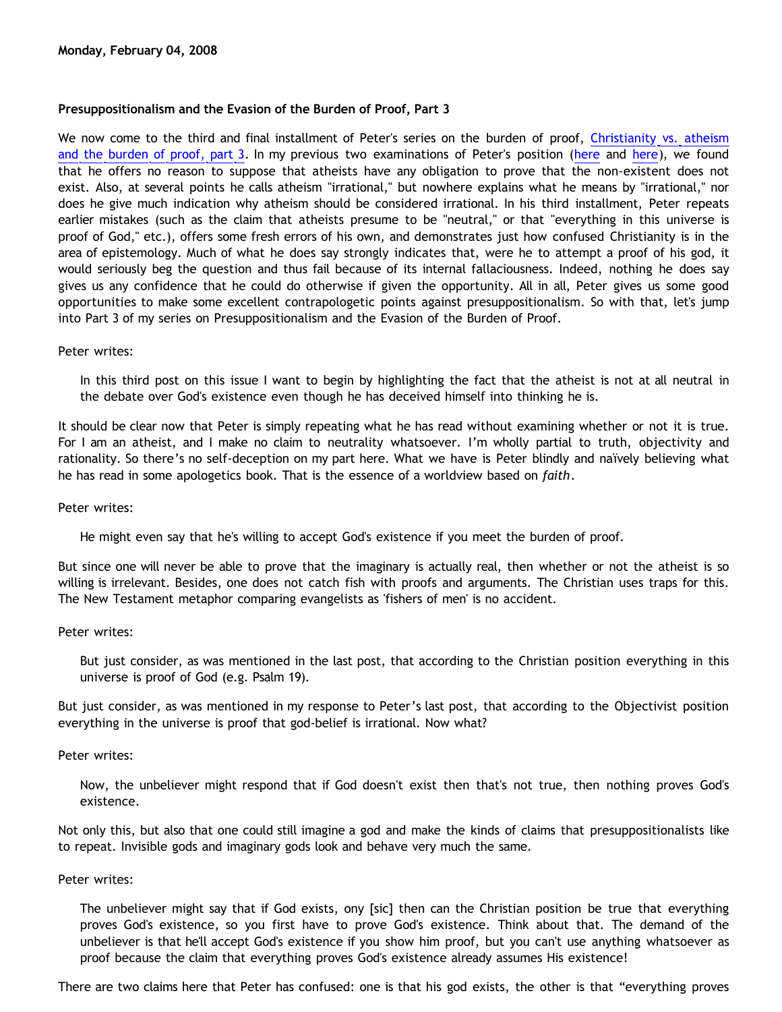# **Presuppositionalism and the Evasion of the Burden of Proof, Part 3**

We now come to the third and final installment of Peter's series on the burden of proof, [Christianity vs. atheism](http://gregbahnsen.blogspot.com/2007/06/christianity-vs-atheism-and-burden-of_28.html) [and the burden of proof, part 3.](http://gregbahnsen.blogspot.com/2007/06/christianity-vs-atheism-and-burden-of_28.html) In my previous two examinations of Peter's position ([here](http://bahnsenburner.blogspot.com/2008/02/presuppositionalism-and-evasion-of.html) and [here](http://bahnsenburner.blogspot.com/2008/02/presuppositionalism-and-evasion-of_03.html)), we found that he offers no reason to suppose that atheists have any obligation to prove that the non-existent does not exist. Also, at several points he calls atheism "irrational," but nowhere explains what he means by "irrational," nor does he give much indication why atheism should be considered irrational. In his third installment, Peter repeats earlier mistakes (such as the claim that atheists presume to be "neutral," or that "everything in this universe is proof of God," etc.), offers some fresh errors of his own, and demonstrates just how confused Christianity is in the area of epistemology. Much of what he does say strongly indicates that, were he to attempt a proof of his god, it would seriously beg the question and thus fail because of its internal fallaciousness. Indeed, nothing he does say gives us any confidence that he could do otherwise if given the opportunity. All in all, Peter gives us some good opportunities to make some excellent contrapologetic points against presuppositionalism. So with that, let's jump into Part 3 of my series on Presuppositionalism and the Evasion of the Burden of Proof.

### Peter writes:

In this third post on this issue I want to begin by highlighting the fact that the atheist is not at all neutral in the debate over God's existence even though he has deceived himself into thinking he is.

It should be clear now that Peter is simply repeating what he has read without examining whether or not it is true. For I am an atheist, and I make no claim to neutrality whatsoever. I'm wholly partial to truth, objectivity and rationality. So there's no self-deception on my part here. What we have is Peter blindly and naïvely believing what he has read in some apologetics book. That is the essence of a worldview based on *faith*.

#### Peter writes:

He might even say that he's willing to accept God's existence if you meet the burden of proof.

But since one will never be able to prove that the imaginary is actually real, then whether or not the atheist is so willing is irrelevant. Besides, one does not catch fish with proofs and arguments. The Christian uses traps for this. The New Testament metaphor comparing evangelists as 'fishers of men' is no accident.

## Peter writes:

But just consider, as was mentioned in the last post, that according to the Christian position everything in this universe is proof of God (e.g. Psalm 19).

But just consider, as was mentioned in my response to Peter's last post, that according to the Objectivist position everything in the universe is proof that god-belief is irrational. Now what?

## Peter writes:

Now, the unbeliever might respond that if God doesn't exist then that's not true, then nothing proves God's existence.

Not only this, but also that one could still imagine a god and make the kinds of claims that presuppositionalists like to repeat. Invisible gods and imaginary gods look and behave very much the same.

#### Peter writes:

The unbeliever might say that if God exists, ony [sic] then can the Christian position be true that everything proves God's existence, so you first have to prove God's existence. Think about that. The demand of the unbeliever is that he'll accept God's existence if you show him proof, but you can't use anything whatsoever as proof because the claim that everything proves God's existence already assumes His existence!

There are two claims here that Peter has confused: one is that his god exists, the other is that "everything proves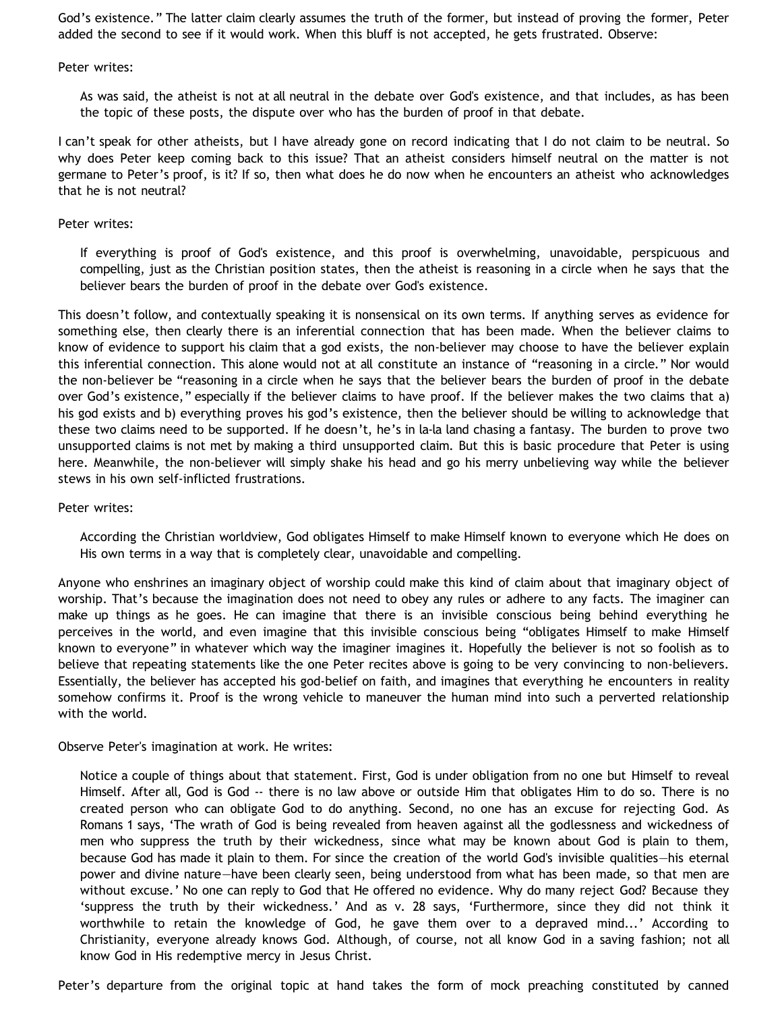God's existence." The latter claim clearly assumes the truth of the former, but instead of proving the former, Peter added the second to see if it would work. When this bluff is not accepted, he gets frustrated. Observe:

Peter writes:

As was said, the atheist is not at all neutral in the debate over God's existence, and that includes, as has been the topic of these posts, the dispute over who has the burden of proof in that debate.

I can't speak for other atheists, but I have already gone on record indicating that I do not claim to be neutral. So why does Peter keep coming back to this issue? That an atheist considers himself neutral on the matter is not germane to Peter's proof, is it? If so, then what does he do now when he encounters an atheist who acknowledges that he is not neutral?

### Peter writes:

If everything is proof of God's existence, and this proof is overwhelming, unavoidable, perspicuous and compelling, just as the Christian position states, then the atheist is reasoning in a circle when he says that the believer bears the burden of proof in the debate over God's existence.

This doesn't follow, and contextually speaking it is nonsensical on its own terms. If anything serves as evidence for something else, then clearly there is an inferential connection that has been made. When the believer claims to know of evidence to support his claim that a god exists, the non-believer may choose to have the believer explain this inferential connection. This alone would not at all constitute an instance of "reasoning in a circle." Nor would the non-believer be "reasoning in a circle when he says that the believer bears the burden of proof in the debate over God's existence," especially if the believer claims to have proof. If the believer makes the two claims that a) his god exists and b) everything proves his god's existence, then the believer should be willing to acknowledge that these two claims need to be supported. If he doesn't, he's in la-la land chasing a fantasy. The burden to prove two unsupported claims is not met by making a third unsupported claim. But this is basic procedure that Peter is using here. Meanwhile, the non-believer will simply shake his head and go his merry unbelieving way while the believer stews in his own self-inflicted frustrations.

Peter writes:

According the Christian worldview, God obligates Himself to make Himself known to everyone which He does on His own terms in a way that is completely clear, unavoidable and compelling.

Anyone who enshrines an imaginary object of worship could make this kind of claim about that imaginary object of worship. That's because the imagination does not need to obey any rules or adhere to any facts. The imaginer can make up things as he goes. He can imagine that there is an invisible conscious being behind everything he perceives in the world, and even imagine that this invisible conscious being "obligates Himself to make Himself known to everyone" in whatever which way the imaginer imagines it. Hopefully the believer is not so foolish as to believe that repeating statements like the one Peter recites above is going to be very convincing to non-believers. Essentially, the believer has accepted his god-belief on faith, and imagines that everything he encounters in reality somehow confirms it. Proof is the wrong vehicle to maneuver the human mind into such a perverted relationship with the world.

Observe Peter's imagination at work. He writes:

Notice a couple of things about that statement. First, God is under obligation from no one but Himself to reveal Himself. After all, God is God -- there is no law above or outside Him that obligates Him to do so. There is no created person who can obligate God to do anything. Second, no one has an excuse for rejecting God. As Romans 1 says, 'The wrath of God is being revealed from heaven against all the godlessness and wickedness of men who suppress the truth by their wickedness, since what may be known about God is plain to them, because God has made it plain to them. For since the creation of the world God's invisible qualities—his eternal power and divine nature—have been clearly seen, being understood from what has been made, so that men are without excuse.' No one can reply to God that He offered no evidence. Why do many reject God? Because they 'suppress the truth by their wickedness.' And as v. 28 says, 'Furthermore, since they did not think it worthwhile to retain the knowledge of God, he gave them over to a depraved mind...' According to Christianity, everyone already knows God. Although, of course, not all know God in a saving fashion; not all know God in His redemptive mercy in Jesus Christ.

Peter's departure from the original topic at hand takes the form of mock preaching constituted by canned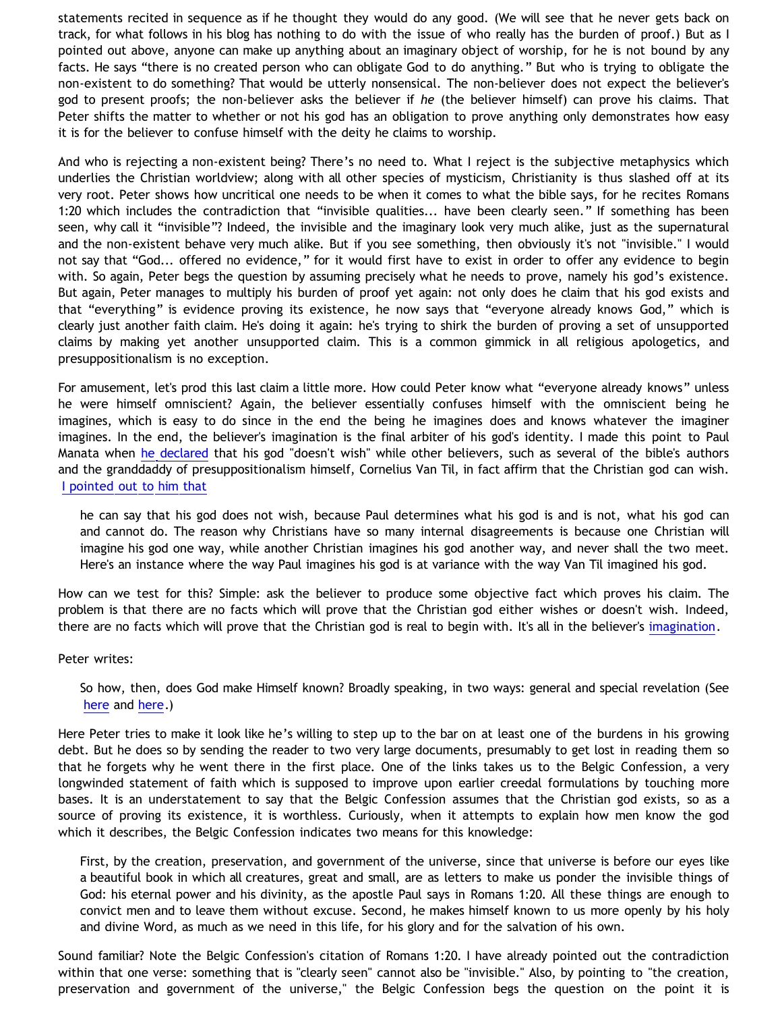statements recited in sequence as if he thought they would do any good. (We will see that he never gets back on track, for what follows in his blog has nothing to do with the issue of who really has the burden of proof.) But as I pointed out above, anyone can make up anything about an imaginary object of worship, for he is not bound by any facts. He says "there is no created person who can obligate God to do anything." But who is trying to obligate the non-existent to do something? That would be utterly nonsensical. The non-believer does not expect the believer's god to present proofs; the non-believer asks the believer if *he* (the believer himself) can prove his claims. That Peter shifts the matter to whether or not his god has an obligation to prove anything only demonstrates how easy it is for the believer to confuse himself with the deity he claims to worship.

And who is rejecting a non-existent being? There's no need to. What I reject is the subjective metaphysics which underlies the Christian worldview; along with all other species of mysticism, Christianity is thus slashed off at its very root. Peter shows how uncritical one needs to be when it comes to what the bible says, for he recites Romans 1:20 which includes the contradiction that "invisible qualities... have been clearly seen." If something has been seen, why call it "invisible"? Indeed, the invisible and the imaginary look very much alike, just as the supernatural and the non-existent behave very much alike. But if you see something, then obviously it's not "invisible." I would not say that "God... offered no evidence," for it would first have to exist in order to offer any evidence to begin with. So again, Peter begs the question by assuming precisely what he needs to prove, namely his god's existence. But again, Peter manages to multiply his burden of proof yet again: not only does he claim that his god exists and that "everything" is evidence proving its existence, he now says that "everyone already knows God," which is clearly just another faith claim. He's doing it again: he's trying to shirk the burden of proving a set of unsupported claims by making yet another unsupported claim. This is a common gimmick in all religious apologetics, and presuppositionalism is no exception.

For amusement, let's prod this last claim a little more. How could Peter know what "everyone already knows" unless he were himself omniscient? Again, the believer essentially confuses himself with the omniscient being he imagines, which is easy to do since in the end the being he imagines does and knows whatever the imaginer imagines. In the end, the believer's imagination is the final arbiter of his god's identity. I made this point to Paul Manata when [he declared](http://bahnsenburner.blogspot.com/2006/12/wishing-and-christian-deity.html) that his god "doesn't wish" while other believers, such as several of the bible's authors and the granddaddy of presuppositionalism himself, Cornelius Van Til, in fact affirm that the Christian god can wish. [I pointed out to him that](http://bahnsenburner.blogspot.com/2006/10/those-delicate-christian-sensibilities.html)

he can say that his god does not wish, because Paul determines what his god is and is not, what his god can and cannot do. The reason why Christians have so many internal disagreements is because one Christian will imagine his god one way, while another Christian imagines his god another way, and never shall the two meet. Here's an instance where the way Paul imagines his god is at variance with the way Van Til imagined his god.

How can we test for this? Simple: ask the believer to produce some objective fact which proves his claim. The problem is that there are no facts which will prove that the Christian god either wishes or doesn't wish. Indeed, there are no facts which will prove that the Christian god is real to begin with. It's all in the believer's [imagination](http://bahnsenburner.blogspot.com/search/label/imagination).

Peter writes:

So how, then, does God make Himself known? Broadly speaking, in two ways: general and special revelation (See [here](http://www.reformed.org/documents/BelgicConfession.html) and [here](http://www.reformed.org/documents/westminster_conf_of_faith.html).)

Here Peter tries to make it look like he's willing to step up to the bar on at least one of the burdens in his growing debt. But he does so by sending the reader to two very large documents, presumably to get lost in reading them so that he forgets why he went there in the first place. One of the links takes us to the Belgic Confession, a very longwinded statement of faith which is supposed to improve upon earlier creedal formulations by touching more bases. It is an understatement to say that the Belgic Confession assumes that the Christian god exists, so as a source of proving its existence, it is worthless. Curiously, when it attempts to explain how men know the god which it describes, the Belgic Confession indicates two means for this knowledge:

First, by the creation, preservation, and government of the universe, since that universe is before our eyes like a beautiful book in which all creatures, great and small, are as letters to make us ponder the invisible things of God: his eternal power and his divinity, as the apostle Paul says in Romans 1:20. All these things are enough to convict men and to leave them without excuse. Second, he makes himself known to us more openly by his holy and divine Word, as much as we need in this life, for his glory and for the salvation of his own.

Sound familiar? Note the Belgic Confession's citation of Romans 1:20. I have already pointed out the contradiction within that one verse: something that is "clearly seen" cannot also be "invisible." Also, by pointing to "the creation, preservation and government of the universe," the Belgic Confession begs the question on the point it is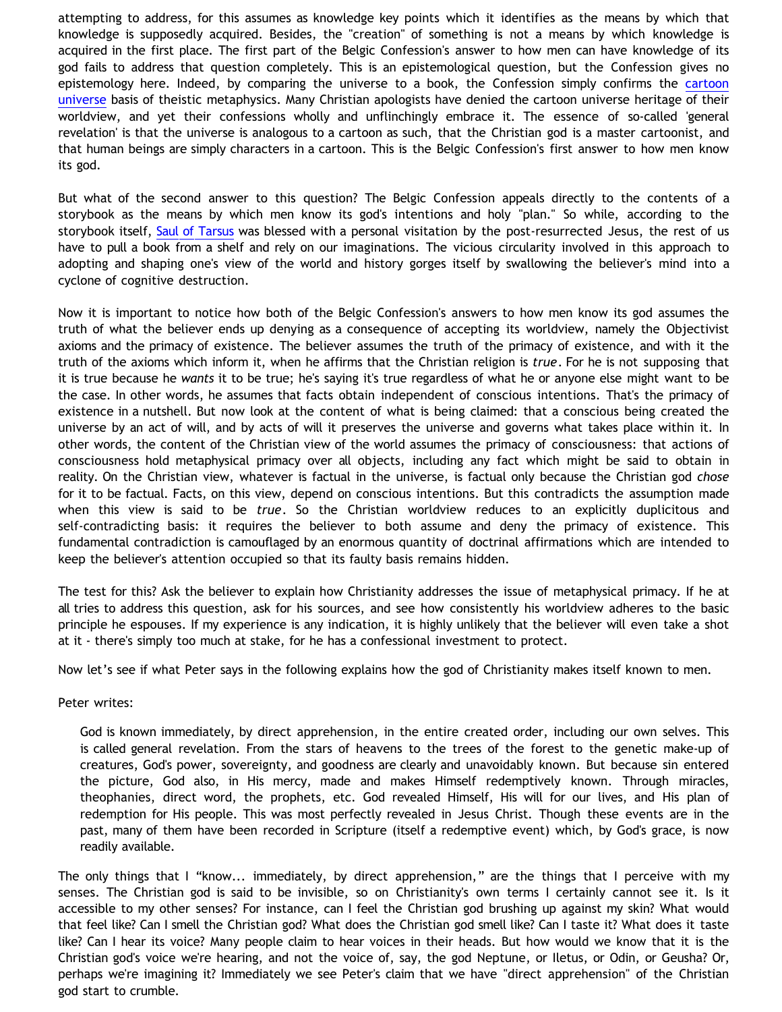attempting to address, for this assumes as knowledge key points which it identifies as the means by which that knowledge is supposedly acquired. Besides, the "creation" of something is not a means by which knowledge is acquired in the first place. The first part of the Belgic Confession's answer to how men can have knowledge of its god fails to address that question completely. This is an epistemological question, but the Confession gives no epistemology here. Indeed, by comparing the universe to a book, the Confession simply confirms the [cartoon](http://www.strongatheism.net/library/atheology/cartoon_universe_of_theism/) [universe](http://www.strongatheism.net/library/atheology/cartoon_universe_of_theism/) basis of theistic metaphysics. Many Christian apologists have denied the cartoon universe heritage of their worldview, and yet their confessions wholly and unflinchingly embrace it. The essence of so-called 'general revelation' is that the universe is analogous to a cartoon as such, that the Christian god is a master cartoonist, and that human beings are simply characters in a cartoon. This is the Belgic Confession's first answer to how men know its god.

But what of the second answer to this question? The Belgic Confession appeals directly to the contents of a storybook as the means by which men know its god's intentions and holy "plan." So while, according to the storybook itself, [Saul of Tarsus](http://bahnsenburner.blogspot.com/2007/06/problem-of-saul.html) was blessed with a personal visitation by the post-resurrected Jesus, the rest of us have to pull a book from a shelf and rely on our imaginations. The vicious circularity involved in this approach to adopting and shaping one's view of the world and history gorges itself by swallowing the believer's mind into a cyclone of cognitive destruction.

Now it is important to notice how both of the Belgic Confession's answers to how men know its god assumes the truth of what the believer ends up denying as a consequence of accepting its worldview, namely the Objectivist axioms and the primacy of existence. The believer assumes the truth of the primacy of existence, and with it the truth of the axioms which inform it, when he affirms that the Christian religion is *true*. For he is not supposing that it is true because he *wants* it to be true; he's saying it's true regardless of what he or anyone else might want to be the case. In other words, he assumes that facts obtain independent of conscious intentions. That's the primacy of existence in a nutshell. But now look at the content of what is being claimed: that a conscious being created the universe by an act of will, and by acts of will it preserves the universe and governs what takes place within it. In other words, the content of the Christian view of the world assumes the primacy of consciousness: that actions of consciousness hold metaphysical primacy over all objects, including any fact which might be said to obtain in reality. On the Christian view, whatever is factual in the universe, is factual only because the Christian god *chose* for it to be factual. Facts, on this view, depend on conscious intentions. But this contradicts the assumption made when this view is said to be *true*. So the Christian worldview reduces to an explicitly duplicitous and self-contradicting basis: it requires the believer to both assume and deny the primacy of existence. This fundamental contradiction is camouflaged by an enormous quantity of doctrinal affirmations which are intended to keep the believer's attention occupied so that its faulty basis remains hidden.

The test for this? Ask the believer to explain how Christianity addresses the issue of metaphysical primacy. If he at all tries to address this question, ask for his sources, and see how consistently his worldview adheres to the basic principle he espouses. If my experience is any indication, it is highly unlikely that the believer will even take a shot at it - there's simply too much at stake, for he has a confessional investment to protect.

Now let's see if what Peter says in the following explains how the god of Christianity makes itself known to men.

Peter writes:

God is known immediately, by direct apprehension, in the entire created order, including our own selves. This is called general revelation. From the stars of heavens to the trees of the forest to the genetic make-up of creatures, God's power, sovereignty, and goodness are clearly and unavoidably known. But because sin entered the picture, God also, in His mercy, made and makes Himself redemptively known. Through miracles, theophanies, direct word, the prophets, etc. God revealed Himself, His will for our lives, and His plan of redemption for His people. This was most perfectly revealed in Jesus Christ. Though these events are in the past, many of them have been recorded in Scripture (itself a redemptive event) which, by God's grace, is now readily available.

The only things that I "know... immediately, by direct apprehension," are the things that I perceive with my senses. The Christian god is said to be invisible, so on Christianity's own terms I certainly cannot see it. Is it accessible to my other senses? For instance, can I feel the Christian god brushing up against my skin? What would that feel like? Can I smell the Christian god? What does the Christian god smell like? Can I taste it? What does it taste like? Can I hear its voice? Many people claim to hear voices in their heads. But how would we know that it is the Christian god's voice we're hearing, and not the voice of, say, the god Neptune, or Iletus, or Odin, or Geusha? Or, perhaps we're imagining it? Immediately we see Peter's claim that we have "direct apprehension" of the Christian god start to crumble.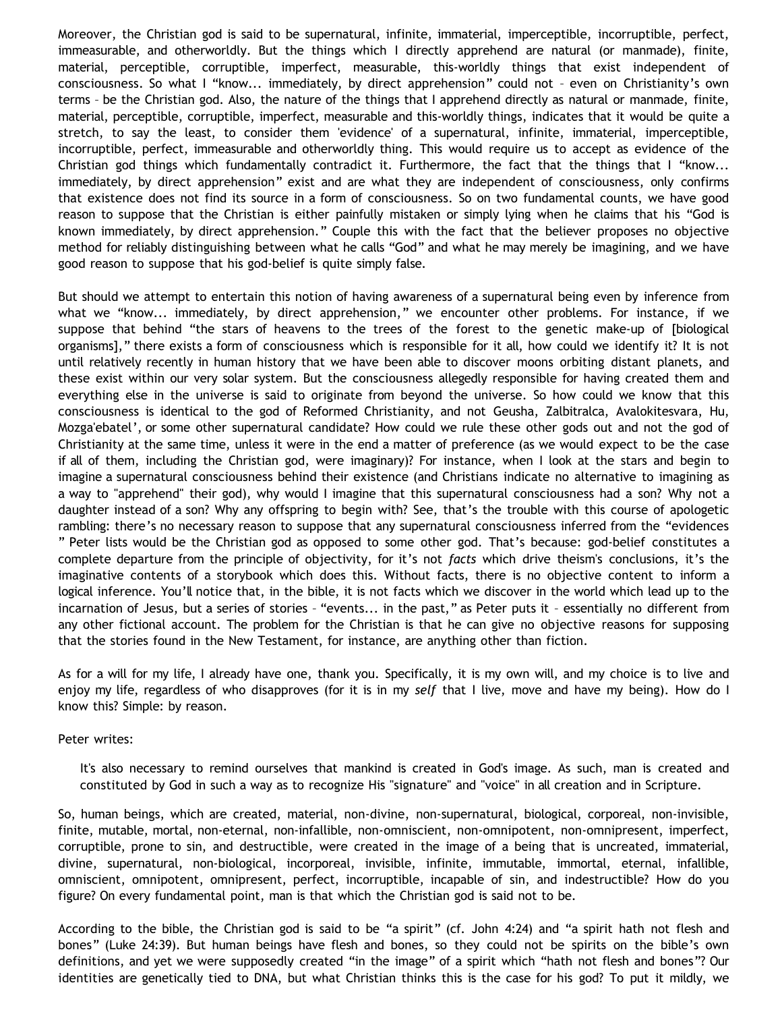Moreover, the Christian god is said to be supernatural, infinite, immaterial, imperceptible, incorruptible, perfect, immeasurable, and otherworldly. But the things which I directly apprehend are natural (or manmade), finite, material, perceptible, corruptible, imperfect, measurable, this-worldly things that exist independent of consciousness. So what I "know... immediately, by direct apprehension" could not – even on Christianity's own terms – be the Christian god. Also, the nature of the things that I apprehend directly as natural or manmade, finite, material, perceptible, corruptible, imperfect, measurable and this-worldly things, indicates that it would be quite a stretch, to say the least, to consider them 'evidence' of a supernatural, infinite, immaterial, imperceptible, incorruptible, perfect, immeasurable and otherworldly thing. This would require us to accept as evidence of the Christian god things which fundamentally contradict it. Furthermore, the fact that the things that I "know... immediately, by direct apprehension" exist and are what they are independent of consciousness, only confirms that existence does not find its source in a form of consciousness. So on two fundamental counts, we have good reason to suppose that the Christian is either painfully mistaken or simply lying when he claims that his "God is known immediately, by direct apprehension." Couple this with the fact that the believer proposes no objective method for reliably distinguishing between what he calls "God" and what he may merely be imagining, and we have good reason to suppose that his god-belief is quite simply false.

But should we attempt to entertain this notion of having awareness of a supernatural being even by inference from what we "know... immediately, by direct apprehension," we encounter other problems. For instance, if we suppose that behind "the stars of heavens to the trees of the forest to the genetic make-up of [biological organisms]," there exists a form of consciousness which is responsible for it all, how could we identify it? It is not until relatively recently in human history that we have been able to discover moons orbiting distant planets, and these exist within our very solar system. But the consciousness allegedly responsible for having created them and everything else in the universe is said to originate from beyond the universe. So how could we know that this consciousness is identical to the god of Reformed Christianity, and not Geusha, Zalbitralca, Avalokitesvara, Hu, Mozga'ebatel', or some other supernatural candidate? How could we rule these other gods out and not the god of Christianity at the same time, unless it were in the end a matter of preference (as we would expect to be the case if all of them, including the Christian god, were imaginary)? For instance, when I look at the stars and begin to imagine a supernatural consciousness behind their existence (and Christians indicate no alternative to imagining as a way to "apprehend" their god), why would I imagine that this supernatural consciousness had a son? Why not a daughter instead of a son? Why any offspring to begin with? See, that's the trouble with this course of apologetic rambling: there's no necessary reason to suppose that any supernatural consciousness inferred from the "evidences " Peter lists would be the Christian god as opposed to some other god. That's because: god-belief constitutes a complete departure from the principle of objectivity, for it's not *facts* which drive theism's conclusions, it's the imaginative contents of a storybook which does this. Without facts, there is no objective content to inform a logical inference. You'll notice that, in the bible, it is not facts which we discover in the world which lead up to the incarnation of Jesus, but a series of stories – "events... in the past," as Peter puts it – essentially no different from any other fictional account. The problem for the Christian is that he can give no objective reasons for supposing that the stories found in the New Testament, for instance, are anything other than fiction.

As for a will for my life, I already have one, thank you. Specifically, it is my own will, and my choice is to live and enjoy my life, regardless of who disapproves (for it is in my *self* that I live, move and have my being). How do I know this? Simple: by reason.

Peter writes:

It's also necessary to remind ourselves that mankind is created in God's image. As such, man is created and constituted by God in such a way as to recognize His "signature" and "voice" in all creation and in Scripture.

So, human beings, which are created, material, non-divine, non-supernatural, biological, corporeal, non-invisible, finite, mutable, mortal, non-eternal, non-infallible, non-omniscient, non-omnipotent, non-omnipresent, imperfect, corruptible, prone to sin, and destructible, were created in the image of a being that is uncreated, immaterial, divine, supernatural, non-biological, incorporeal, invisible, infinite, immutable, immortal, eternal, infallible, omniscient, omnipotent, omnipresent, perfect, incorruptible, incapable of sin, and indestructible? How do you figure? On every fundamental point, man is that which the Christian god is said not to be.

According to the bible, the Christian god is said to be "a spirit" (cf. John 4:24) and "a spirit hath not flesh and bones" (Luke 24:39). But human beings have flesh and bones, so they could not be spirits on the bible's own definitions, and yet we were supposedly created "in the image" of a spirit which "hath not flesh and bones"? Our identities are genetically tied to DNA, but what Christian thinks this is the case for his god? To put it mildly, we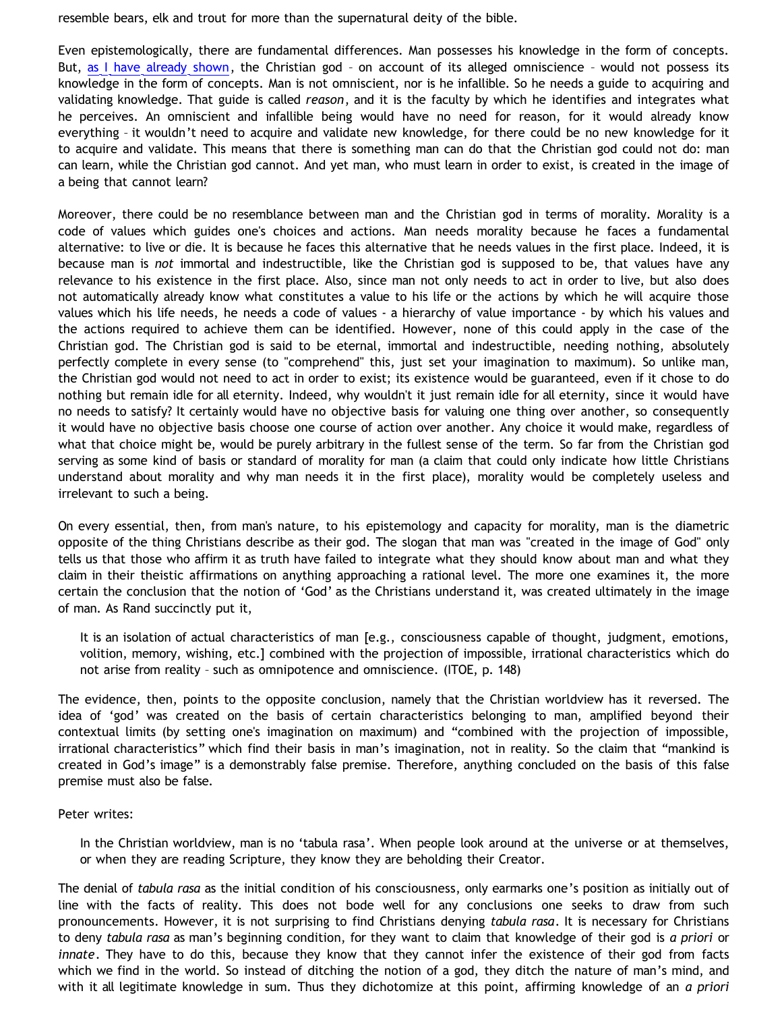resemble bears, elk and trout for more than the supernatural deity of the bible.

Even epistemologically, there are fundamental differences. Man possesses his knowledge in the form of concepts. But, [as I have already shown](http://bahnsenburner.blogspot.com/2007/04/would-omniscient-mind-have-knowledge-in.html), the Christian god - on account of its alleged omniscience - would not possess its knowledge in the form of concepts. Man is not omniscient, nor is he infallible. So he needs a guide to acquiring and validating knowledge. That guide is called *reason*, and it is the faculty by which he identifies and integrates what he perceives. An omniscient and infallible being would have no need for reason, for it would already know everything – it wouldn't need to acquire and validate new knowledge, for there could be no new knowledge for it to acquire and validate. This means that there is something man can do that the Christian god could not do: man can learn, while the Christian god cannot. And yet man, who must learn in order to exist, is created in the image of a being that cannot learn?

Moreover, there could be no resemblance between man and the Christian god in terms of morality. Morality is a code of values which guides one's choices and actions. Man needs morality because he faces a fundamental alternative: to live or die. It is because he faces this alternative that he needs values in the first place. Indeed, it is because man is *not* immortal and indestructible, like the Christian god is supposed to be, that values have any relevance to his existence in the first place. Also, since man not only needs to act in order to live, but also does not automatically already know what constitutes a value to his life or the actions by which he will acquire those values which his life needs, he needs a code of values - a hierarchy of value importance - by which his values and the actions required to achieve them can be identified. However, none of this could apply in the case of the Christian god. The Christian god is said to be eternal, immortal and indestructible, needing nothing, absolutely perfectly complete in every sense (to "comprehend" this, just set your imagination to maximum). So unlike man, the Christian god would not need to act in order to exist; its existence would be guaranteed, even if it chose to do nothing but remain idle for all eternity. Indeed, why wouldn't it just remain idle for all eternity, since it would have no needs to satisfy? It certainly would have no objective basis for valuing one thing over another, so consequently it would have no objective basis choose one course of action over another. Any choice it would make, regardless of what that choice might be, would be purely arbitrary in the fullest sense of the term. So far from the Christian god serving as some kind of basis or standard of morality for man (a claim that could only indicate how little Christians understand about morality and why man needs it in the first place), morality would be completely useless and irrelevant to such a being.

On every essential, then, from man's nature, to his epistemology and capacity for morality, man is the diametric opposite of the thing Christians describe as their god. The slogan that man was "created in the image of God" only tells us that those who affirm it as truth have failed to integrate what they should know about man and what they claim in their theistic affirmations on anything approaching a rational level. The more one examines it, the more certain the conclusion that the notion of 'God' as the Christians understand it, was created ultimately in the image of man. As Rand succinctly put it,

It is an isolation of actual characteristics of man [e.g., consciousness capable of thought, judgment, emotions, volition, memory, wishing, etc.] combined with the projection of impossible, irrational characteristics which do not arise from reality – such as omnipotence and omniscience. (ITOE, p. 148)

The evidence, then, points to the opposite conclusion, namely that the Christian worldview has it reversed. The idea of 'god' was created on the basis of certain characteristics belonging to man, amplified beyond their contextual limits (by setting one's imagination on maximum) and "combined with the projection of impossible, irrational characteristics" which find their basis in man's imagination, not in reality. So the claim that "mankind is created in God's image" is a demonstrably false premise. Therefore, anything concluded on the basis of this false premise must also be false.

Peter writes:

In the Christian worldview, man is no 'tabula rasa'. When people look around at the universe or at themselves, or when they are reading Scripture, they know they are beholding their Creator.

The denial of *tabula rasa* as the initial condition of his consciousness, only earmarks one's position as initially out of line with the facts of reality. This does not bode well for any conclusions one seeks to draw from such pronouncements. However, it is not surprising to find Christians denying *tabula rasa*. It is necessary for Christians to deny *tabula rasa* as man's beginning condition, for they want to claim that knowledge of their god is *a priori* or *innate*. They have to do this, because they know that they cannot infer the existence of their god from facts which we find in the world. So instead of ditching the notion of a god, they ditch the nature of man's mind, and with it all legitimate knowledge in sum. Thus they dichotomize at this point, affirming knowledge of an *a priori*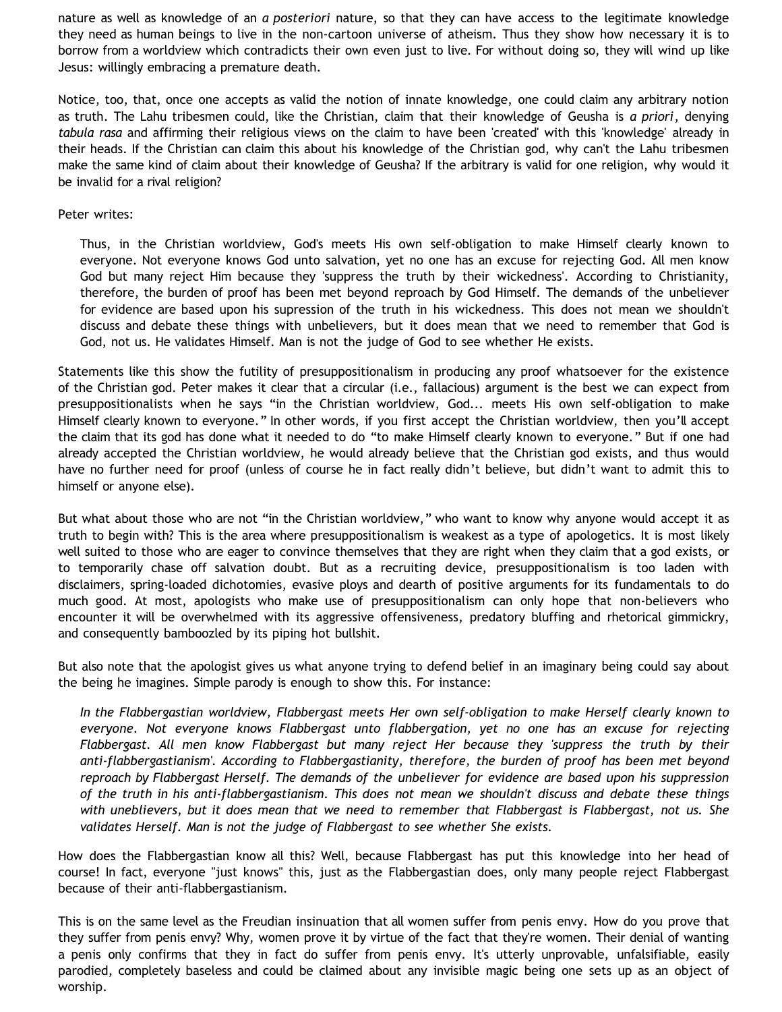nature as well as knowledge of an *a posteriori* nature, so that they can have access to the legitimate knowledge they need as human beings to live in the non-cartoon universe of atheism. Thus they show how necessary it is to borrow from a worldview which contradicts their own even just to live. For without doing so, they will wind up like Jesus: willingly embracing a premature death.

Notice, too, that, once one accepts as valid the notion of innate knowledge, one could claim any arbitrary notion as truth. The Lahu tribesmen could, like the Christian, claim that their knowledge of Geusha is *a priori*, denying *tabula rasa* and affirming their religious views on the claim to have been 'created' with this 'knowledge' already in their heads. If the Christian can claim this about his knowledge of the Christian god, why can't the Lahu tribesmen make the same kind of claim about their knowledge of Geusha? If the arbitrary is valid for one religion, why would it be invalid for a rival religion?

## Peter writes:

Thus, in the Christian worldview, God's meets His own self-obligation to make Himself clearly known to everyone. Not everyone knows God unto salvation, yet no one has an excuse for rejecting God. All men know God but many reject Him because they 'suppress the truth by their wickedness'. According to Christianity, therefore, the burden of proof has been met beyond reproach by God Himself. The demands of the unbeliever for evidence are based upon his supression of the truth in his wickedness. This does not mean we shouldn't discuss and debate these things with unbelievers, but it does mean that we need to remember that God is God, not us. He validates Himself. Man is not the judge of God to see whether He exists.

Statements like this show the futility of presuppositionalism in producing any proof whatsoever for the existence of the Christian god. Peter makes it clear that a circular (i.e., fallacious) argument is the best we can expect from presuppositionalists when he says "in the Christian worldview, God... meets His own self-obligation to make Himself clearly known to everyone." In other words, if you first accept the Christian worldview, then you'll accept the claim that its god has done what it needed to do "to make Himself clearly known to everyone." But if one had already accepted the Christian worldview, he would already believe that the Christian god exists, and thus would have no further need for proof (unless of course he in fact really didn't believe, but didn't want to admit this to himself or anyone else).

But what about those who are not "in the Christian worldview," who want to know why anyone would accept it as truth to begin with? This is the area where presuppositionalism is weakest as a type of apologetics. It is most likely well suited to those who are eager to convince themselves that they are right when they claim that a god exists, or to temporarily chase off salvation doubt. But as a recruiting device, presuppositionalism is too laden with disclaimers, spring-loaded dichotomies, evasive ploys and dearth of positive arguments for its fundamentals to do much good. At most, apologists who make use of presuppositionalism can only hope that non-believers who encounter it will be overwhelmed with its aggressive offensiveness, predatory bluffing and rhetorical gimmickry, and consequently bamboozled by its piping hot bullshit.

But also note that the apologist gives us what anyone trying to defend belief in an imaginary being could say about the being he imagines. Simple parody is enough to show this. For instance:

*In the Flabbergastian worldview, Flabbergast meets Her own self-obligation to make Herself clearly known to everyone. Not everyone knows Flabbergast unto flabbergation, yet no one has an excuse for rejecting Flabbergast. All men know Flabbergast but many reject Her because they 'suppress the truth by their anti-flabbergastianism'. According to Flabbergastianity, therefore, the burden of proof has been met beyond reproach by Flabbergast Herself. The demands of the unbeliever for evidence are based upon his suppression of the truth in his anti-flabbergastianism. This does not mean we shouldn't discuss and debate these things with uneblievers, but it does mean that we need to remember that Flabbergast is Flabbergast, not us. She validates Herself. Man is not the judge of Flabbergast to see whether She exists.*

How does the Flabbergastian know all this? Well, because Flabbergast has put this knowledge into her head of course! In fact, everyone "just knows" this, just as the Flabbergastian does, only many people reject Flabbergast because of their anti-flabbergastianism.

This is on the same level as the Freudian insinuation that all women suffer from penis envy. How do you prove that they suffer from penis envy? Why, women prove it by virtue of the fact that they're women. Their denial of wanting a penis only confirms that they in fact do suffer from penis envy. It's utterly unprovable, unfalsifiable, easily parodied, completely baseless and could be claimed about any invisible magic being one sets up as an object of worship.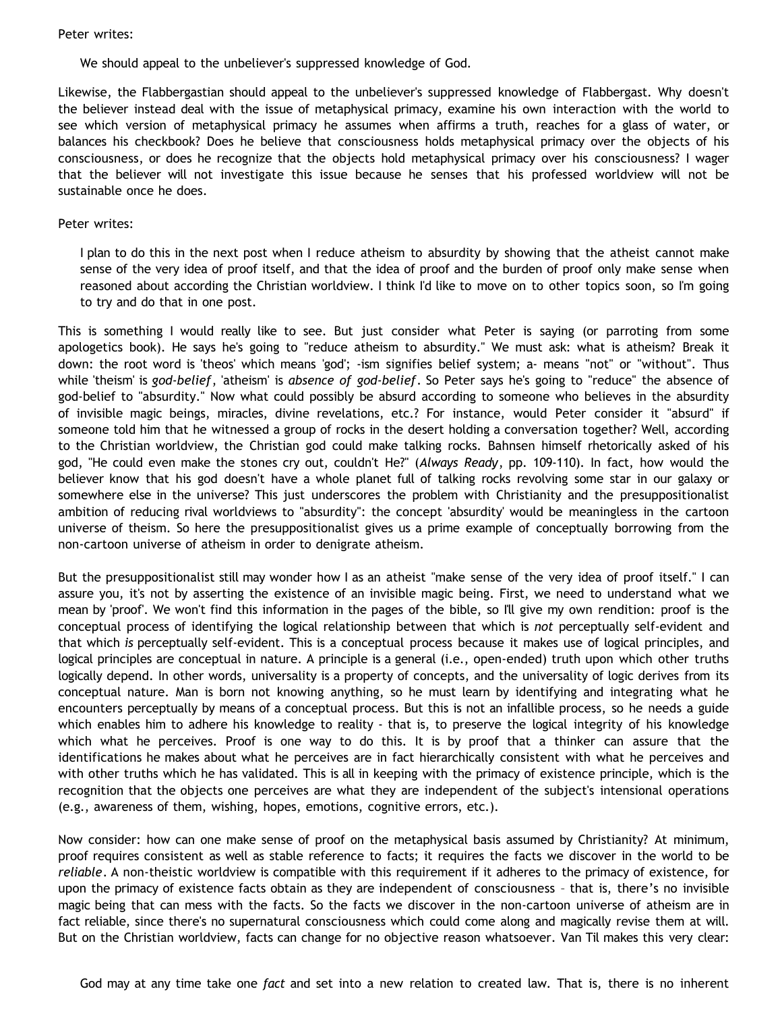### Peter writes:

We should appeal to the unbeliever's suppressed knowledge of God.

Likewise, the Flabbergastian should appeal to the unbeliever's suppressed knowledge of Flabbergast. Why doesn't the believer instead deal with the issue of metaphysical primacy, examine his own interaction with the world to see which version of metaphysical primacy he assumes when affirms a truth, reaches for a glass of water, or balances his checkbook? Does he believe that consciousness holds metaphysical primacy over the objects of his consciousness, or does he recognize that the objects hold metaphysical primacy over his consciousness? I wager that the believer will not investigate this issue because he senses that his professed worldview will not be sustainable once he does.

#### Peter writes:

I plan to do this in the next post when I reduce atheism to absurdity by showing that the atheist cannot make sense of the very idea of proof itself, and that the idea of proof and the burden of proof only make sense when reasoned about according the Christian worldview. I think I'd like to move on to other topics soon, so I'm going to try and do that in one post.

This is something I would really like to see. But just consider what Peter is saying (or parroting from some apologetics book). He says he's going to "reduce atheism to absurdity." We must ask: what is atheism? Break it down: the root word is 'theos' which means 'god'; -ism signifies belief system; a- means "not" or "without". Thus while 'theism' is *god-belief*, 'atheism' is *absence of god-belief*. So Peter says he's going to "reduce" the absence of god-belief to "absurdity." Now what could possibly be absurd according to someone who believes in the absurdity of invisible magic beings, miracles, divine revelations, etc.? For instance, would Peter consider it "absurd" if someone told him that he witnessed a group of rocks in the desert holding a conversation together? Well, according to the Christian worldview, the Christian god could make talking rocks. Bahnsen himself rhetorically asked of his god, "He could even make the stones cry out, couldn't He?" (*Always Ready*, pp. 109-110). In fact, how would the believer know that his god doesn't have a whole planet full of talking rocks revolving some star in our galaxy or somewhere else in the universe? This just underscores the problem with Christianity and the presuppositionalist ambition of reducing rival worldviews to "absurdity": the concept 'absurdity' would be meaningless in the cartoon universe of theism. So here the presuppositionalist gives us a prime example of conceptually borrowing from the non-cartoon universe of atheism in order to denigrate atheism.

But the presuppositionalist still may wonder how I as an atheist "make sense of the very idea of proof itself." I can assure you, it's not by asserting the existence of an invisible magic being. First, we need to understand what we mean by 'proof'. We won't find this information in the pages of the bible, so I'll give my own rendition: proof is the conceptual process of identifying the logical relationship between that which is *not* perceptually self-evident and that which *is* perceptually self-evident. This is a conceptual process because it makes use of logical principles, and logical principles are conceptual in nature. A principle is a general (i.e., open-ended) truth upon which other truths logically depend. In other words, universality is a property of concepts, and the universality of logic derives from its conceptual nature. Man is born not knowing anything, so he must learn by identifying and integrating what he encounters perceptually by means of a conceptual process. But this is not an infallible process, so he needs a guide which enables him to adhere his knowledge to reality - that is, to preserve the logical integrity of his knowledge which what he perceives. Proof is one way to do this. It is by proof that a thinker can assure that the identifications he makes about what he perceives are in fact hierarchically consistent with what he perceives and with other truths which he has validated. This is all in keeping with the primacy of existence principle, which is the recognition that the objects one perceives are what they are independent of the subject's intensional operations (e.g., awareness of them, wishing, hopes, emotions, cognitive errors, etc.).

Now consider: how can one make sense of proof on the metaphysical basis assumed by Christianity? At minimum, proof requires consistent as well as stable reference to facts; it requires the facts we discover in the world to be *reliable*. A non-theistic worldview is compatible with this requirement if it adheres to the primacy of existence, for upon the primacy of existence facts obtain as they are independent of consciousness – that is, there's no invisible magic being that can mess with the facts. So the facts we discover in the non-cartoon universe of atheism are in fact reliable, since there's no supernatural consciousness which could come along and magically revise them at will. But on the Christian worldview, facts can change for no objective reason whatsoever. Van Til makes this very clear: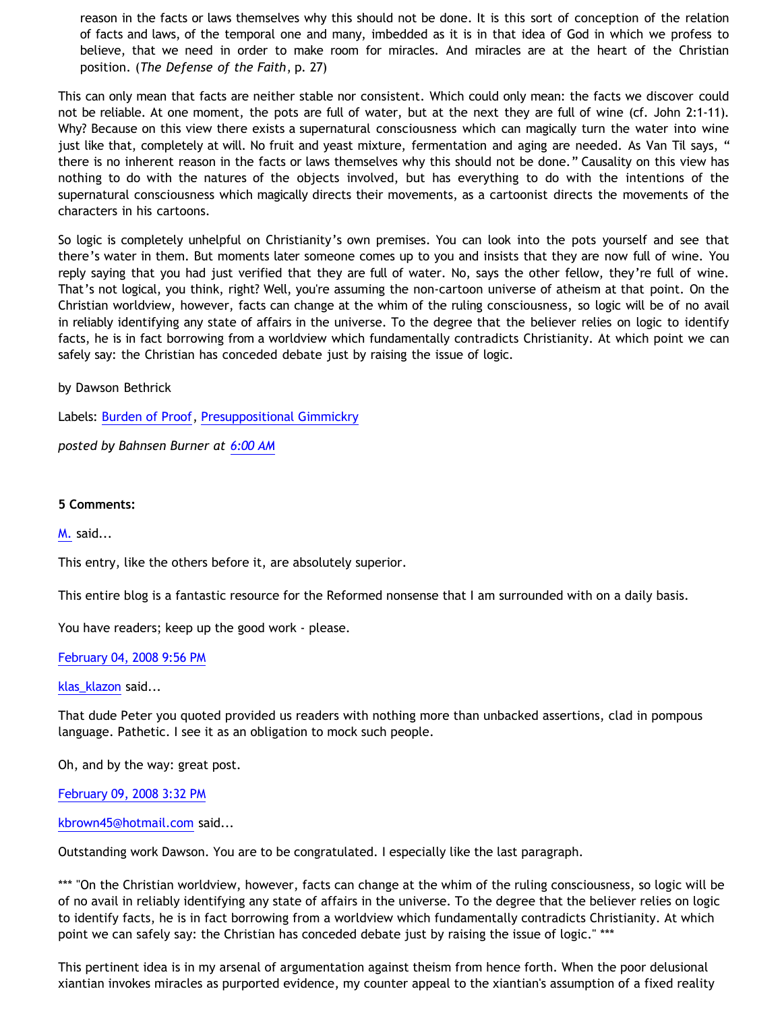reason in the facts or laws themselves why this should not be done. It is this sort of conception of the relation of facts and laws, of the temporal one and many, imbedded as it is in that idea of God in which we profess to believe, that we need in order to make room for miracles. And miracles are at the heart of the Christian position. (*The Defense of the Faith*, p. 27)

This can only mean that facts are neither stable nor consistent. Which could only mean: the facts we discover could not be reliable. At one moment, the pots are full of water, but at the next they are full of wine (cf. John 2:1-11). Why? Because on this view there exists a supernatural consciousness which can magically turn the water into wine just like that, completely at will. No fruit and yeast mixture, fermentation and aging are needed. As Van Til says, " there is no inherent reason in the facts or laws themselves why this should not be done." Causality on this view has nothing to do with the natures of the objects involved, but has everything to do with the intentions of the supernatural consciousness which magically directs their movements, as a cartoonist directs the movements of the characters in his cartoons.

So logic is completely unhelpful on Christianity's own premises. You can look into the pots yourself and see that there's water in them. But moments later someone comes up to you and insists that they are now full of wine. You reply saying that you had just verified that they are full of water. No, says the other fellow, they're full of wine. That's not logical, you think, right? Well, you're assuming the non-cartoon universe of atheism at that point. On the Christian worldview, however, facts can change at the whim of the ruling consciousness, so logic will be of no avail in reliably identifying any state of affairs in the universe. To the degree that the believer relies on logic to identify facts, he is in fact borrowing from a worldview which fundamentally contradicts Christianity. At which point we can safely say: the Christian has conceded debate just by raising the issue of logic.

by Dawson Bethrick

Labels: [Burden of Proof](http://bahnsenburner.blogspot.com/search/label/Burden%20of%20Proof), [Presuppositional Gimmickry](http://bahnsenburner.blogspot.com/search/label/Presuppositional%20Gimmickry)

*posted by Bahnsen Burner at [6:00 AM](http://bahnsenburner.blogspot.com/2008/02/presuppositionalism-and-evasion-of_04.html)*

# **5 Comments:**

[M.](http://www.blogger.com/profile/16583885122726386549) said...

This entry, like the others before it, are absolutely superior.

This entire blog is a fantastic resource for the Reformed nonsense that I am surrounded with on a daily basis.

You have readers; keep up the good work - please.

[February 04, 2008 9:56 PM](http://bahnsenburner.blogspot.com/2008/02/6584347762073504978)

[klas\\_klazon](http://www.blogger.com/profile/05167919397164939103) said...

That dude Peter you quoted provided us readers with nothing more than unbacked assertions, clad in pompous language. Pathetic. I see it as an obligation to mock such people.

Oh, and by the way: great post.

[February 09, 2008 3:32 PM](http://bahnsenburner.blogspot.com/2008/02/3148712534304852163)

[kbrown45@hotmail.com](http://www.blogger.com/profile/04581136429971160522) said...

Outstanding work Dawson. You are to be congratulated. I especially like the last paragraph.

\*\*\* "On the Christian worldview, however, facts can change at the whim of the ruling consciousness, so logic will be of no avail in reliably identifying any state of affairs in the universe. To the degree that the believer relies on logic to identify facts, he is in fact borrowing from a worldview which fundamentally contradicts Christianity. At which point we can safely say: the Christian has conceded debate just by raising the issue of logic." \*\*\*

This pertinent idea is in my arsenal of argumentation against theism from hence forth. When the poor delusional xiantian invokes miracles as purported evidence, my counter appeal to the xiantian's assumption of a fixed reality